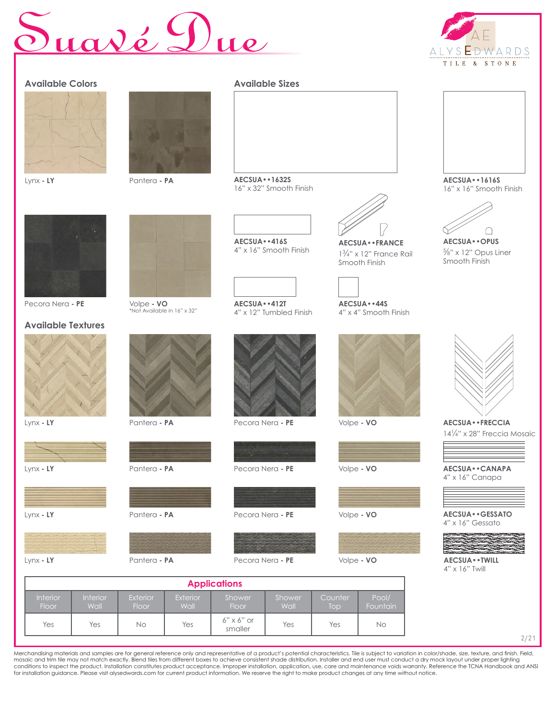## Suavé Due

Floor

Wall

Floor

Yes Yes No Yes 6" x 6" or

Wall



| <b>Available Colors</b>                      |                                           | <b>Available Sizes</b>                                       |                                                                                            |                                                                      |
|----------------------------------------------|-------------------------------------------|--------------------------------------------------------------|--------------------------------------------------------------------------------------------|----------------------------------------------------------------------|
| Lynx - LY                                    | Pantera - PA                              | AECSUA · · 1632S<br>16" x 32" Smooth Finish                  |                                                                                            | AECSUA · · 1616S<br>16" x 16" Smooth Finish                          |
| Pecora Nera - PE                             | Volpe - VO<br>*Not Available in 16" x 32" | AECSUA · · 416S<br>4" x 16" Smooth Finish<br>AECSUA · · 412T | AECSUA • • FRANCE<br>$1\frac{3}{4}$ " x 12" France Rail<br>Smooth Finish<br>AECSUA · · 44S | AECSUA · · OPUS<br>$\frac{5}{8}$ " x 12" Opus Liner<br>Smooth Finish |
| <b>Available Textures</b>                    |                                           | 4" x 12" Tumbled Finish                                      | 4" x 4" Smooth Finish                                                                      |                                                                      |
|                                              |                                           |                                                              |                                                                                            |                                                                      |
| Lynx - LY                                    | Pantera - PA                              | Pecora Nera - PE                                             | Volpe - VO                                                                                 | AECSUA · · FRECCIA                                                   |
|                                              |                                           |                                                              |                                                                                            | 14 <sup>1</sup> / <sub>4</sub> " x 28" Freccia Mosaic                |
| Lynx - LY                                    | Pantera - PA                              | Pecora Nera - PE                                             | Volpe - VO                                                                                 | AECSUA · · CANAPA<br>4" x 16" Canapa                                 |
|                                              |                                           |                                                              |                                                                                            |                                                                      |
| Lynx - LY                                    | Pantera - PA                              | Pecora Nera - PE                                             | Volpe - VO                                                                                 | AECSUA · · GESSATO<br>4" x 16" Gessato                               |
|                                              |                                           |                                                              |                                                                                            |                                                                      |
| Lynx - LY                                    | Pantera - PA                              | Pecora Nera - PE                                             | Volpe - VO                                                                                 | AECSUA · · TWILL                                                     |
| $4" \times 16"$ Twill<br><b>Applications</b> |                                           |                                                              |                                                                                            |                                                                      |
| Interior<br>Interior                         | Exterior<br>Exterior                      | Shower<br>Shower                                             | Pool/<br>Counter                                                                           |                                                                      |

2/21

Merchandising materials and samples are for general reference only and representative of a product's potential characteristics. Tile is subject to variation in color/shade, size, texture, and finish. Field,<br>mosaic and trim for installation guidance. Please visit alysedwards.com for current product information. We reserve the right to make product changes at any time without notice.

Wall

6" x 6" or <br>smaller Yes Yes No

Top

**Fountain**